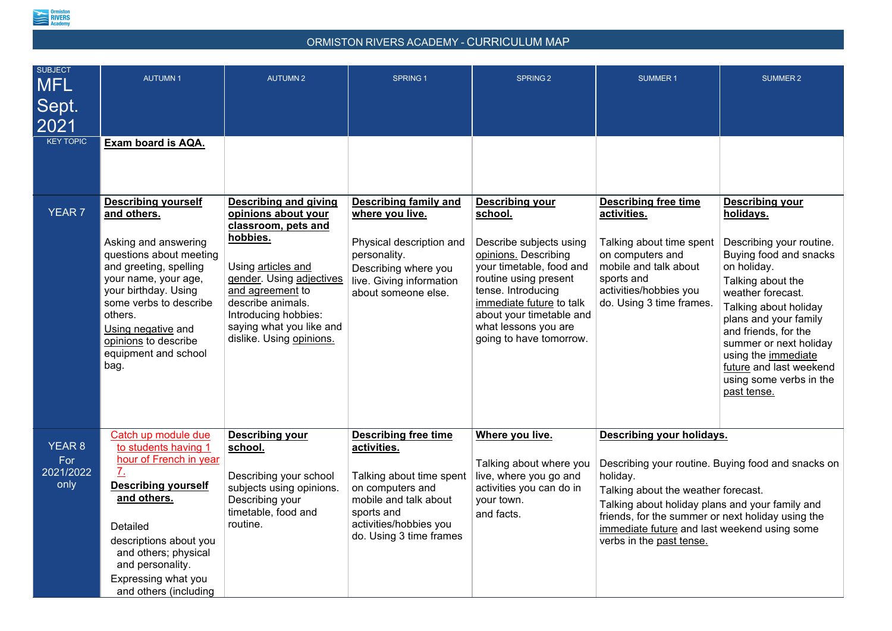

| <b>SUBJECT</b><br><b>MFL</b><br>Sept.<br>2021 | <b>AUTUMN1</b>                                                                                                                                                                                                                                                                            | <b>AUTUMN2</b>                                                                                                                                                                                                                                                    | <b>SPRING 1</b>                                                                                                                                                                        | SPRING <sub>2</sub>                                                                                                                                                                                                                                                        | <b>SUMMER1</b>                                                                                                                                                                                                                                                   | <b>SUMMER 2</b>                                                                                                                                                                                                                                                                                                                                    |
|-----------------------------------------------|-------------------------------------------------------------------------------------------------------------------------------------------------------------------------------------------------------------------------------------------------------------------------------------------|-------------------------------------------------------------------------------------------------------------------------------------------------------------------------------------------------------------------------------------------------------------------|----------------------------------------------------------------------------------------------------------------------------------------------------------------------------------------|----------------------------------------------------------------------------------------------------------------------------------------------------------------------------------------------------------------------------------------------------------------------------|------------------------------------------------------------------------------------------------------------------------------------------------------------------------------------------------------------------------------------------------------------------|----------------------------------------------------------------------------------------------------------------------------------------------------------------------------------------------------------------------------------------------------------------------------------------------------------------------------------------------------|
| <b>KEY TOPIC</b>                              | <b>Exam board is AQA.</b>                                                                                                                                                                                                                                                                 |                                                                                                                                                                                                                                                                   |                                                                                                                                                                                        |                                                                                                                                                                                                                                                                            |                                                                                                                                                                                                                                                                  |                                                                                                                                                                                                                                                                                                                                                    |
| YEAR <sub>7</sub>                             | <b>Describing yourself</b><br>and others.<br>Asking and answering<br>questions about meeting<br>and greeting, spelling<br>your name, your age,<br>your birthday. Using<br>some verbs to describe<br>others.<br>Using negative and<br>opinions to describe<br>equipment and school<br>bag. | <b>Describing and giving</b><br>opinions about your<br>classroom, pets and<br>hobbies.<br>Using articles and<br>gender. Using adjectives<br>and agreement to<br>describe animals.<br>Introducing hobbies:<br>saying what you like and<br>dislike. Using opinions. | <b>Describing family and</b><br>where you live.<br>Physical description and<br>personality.<br>Describing where you<br>live. Giving information<br>about someone else.                 | <b>Describing your</b><br>school.<br>Describe subjects using<br>opinions. Describing<br>your timetable, food and<br>routine using present<br>tense. Introducing<br>immediate future to talk<br>about your timetable and<br>what lessons you are<br>going to have tomorrow. | <b>Describing free time</b><br>activities.<br>Talking about time spent<br>on computers and<br>mobile and talk about<br>sports and<br>activities/hobbies you<br>do. Using 3 time frames.                                                                          | <b>Describing your</b><br>holidays.<br>Describing your routine.<br>Buying food and snacks<br>on holiday.<br>Talking about the<br>weather forecast.<br>Talking about holiday<br>plans and your family<br>and friends, for the<br>summer or next holiday<br>using the immediate<br>future and last weekend<br>using some verbs in the<br>past tense. |
| <b>YEAR 8</b><br>For<br>2021/2022<br>only     | Catch up module due<br>to students having 1<br>hour of French in year<br><b>Describing yourself</b><br>and others.<br><b>Detailed</b><br>descriptions about you<br>and others; physical<br>and personality.<br>Expressing what you<br>and others (including                               | <b>Describing your</b><br>school.<br>Describing your school<br>subjects using opinions.<br>Describing your<br>timetable, food and<br>routine.                                                                                                                     | <b>Describing free time</b><br>activities.<br>Talking about time spent<br>on computers and<br>mobile and talk about<br>sports and<br>activities/hobbies you<br>do. Using 3 time frames | Where you live.<br>Talking about where you<br>live, where you go and<br>activities you can do in<br>your town.<br>and facts.                                                                                                                                               | Describing your holidays.<br>holiday.<br>Talking about the weather forecast.<br>Talking about holiday plans and your family and<br>friends, for the summer or next holiday using the<br>immediate future and last weekend using some<br>verbs in the past tense. | Describing your routine. Buying food and snacks on                                                                                                                                                                                                                                                                                                 |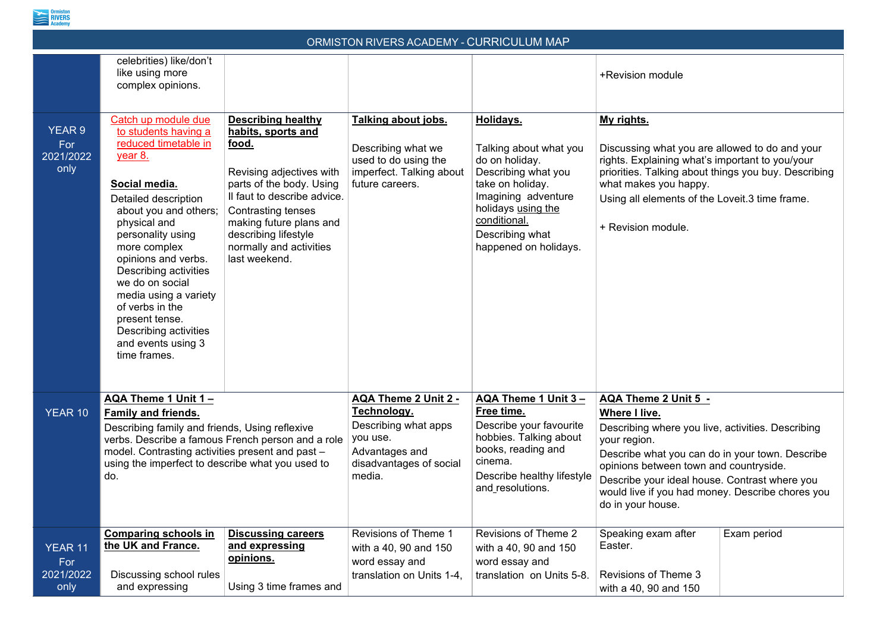

Describe your ideal house. Contrast where you would live if you had money. Describe chores you e.

|                                            | celebrities) like/don't<br>like using more<br>complex opinions.                                                                                                                                                                                                                                                                                                                                              |                                                                                                                                                                                                                                                                             |                                                                                                                                              |                                                                                                                                                                                                                  | +Revision module                                                                                                                                                                                                      |
|--------------------------------------------|--------------------------------------------------------------------------------------------------------------------------------------------------------------------------------------------------------------------------------------------------------------------------------------------------------------------------------------------------------------------------------------------------------------|-----------------------------------------------------------------------------------------------------------------------------------------------------------------------------------------------------------------------------------------------------------------------------|----------------------------------------------------------------------------------------------------------------------------------------------|------------------------------------------------------------------------------------------------------------------------------------------------------------------------------------------------------------------|-----------------------------------------------------------------------------------------------------------------------------------------------------------------------------------------------------------------------|
| <b>YEAR 9</b><br>For<br>2021/2022<br>only  | Catch up module due<br>to students having a<br>reduced timetable in<br><u>year 8.</u><br>Social media.<br>Detailed description<br>about you and others;<br>physical and<br>personality using<br>more complex<br>opinions and verbs.<br>Describing activities<br>we do on social<br>media using a variety<br>of verbs in the<br>present tense.<br>Describing activities<br>and events using 3<br>time frames. | <b>Describing healthy</b><br>habits, sports and<br><u>food.</u><br>Revising adjectives with<br>parts of the body. Using<br>Il faut to describe advice.<br>Contrasting tenses<br>making future plans and<br>describing lifestyle<br>normally and activities<br>last weekend. | Talking about jobs.<br>Describing what we<br>used to do using the<br>imperfect. Talking about<br>future careers.                             | <b>Holidays.</b><br>Talking about what you<br>do on holiday.<br>Describing what you<br>take on holiday.<br>Imagining adventure<br>holidays using the<br>conditional.<br>Describing what<br>happened on holidays. | My rights.<br>Discussing what you a<br>rights. Explaining what<br>priorities. Talking abou<br>what makes you happy<br>Using all elements of t<br>+ Revision module.                                                   |
| <b>YEAR 10</b>                             | AQA Theme 1 Unit 1 -<br><b>Family and friends.</b><br>Describing family and friends, Using reflexive<br>verbs. Describe a famous French person and a role<br>model. Contrasting activities present and past -<br>using the imperfect to describe what you used to<br>do.                                                                                                                                     |                                                                                                                                                                                                                                                                             | <b>AQA Theme 2 Unit 2 -</b><br><u>Technology.</u><br>Describing what apps<br>you use.<br>Advantages and<br>disadvantages of social<br>media. | AQA Theme 1 Unit 3 -<br><b>Free time.</b><br>Describe your favourite<br>hobbies. Talking about<br>books, reading and<br>cinema.<br>Describe healthy lifestyle<br>and resolutions.                                | <b>AQA Theme 2 Unit 5</b><br><b>Where I live.</b><br>Describing where you<br>your region.<br>Describe what you car<br>opinions between town<br>Describe your ideal ho<br>would live if you had m<br>do in your house. |
| <b>YEAR 11</b><br>For<br>2021/2022<br>only | <b>Comparing schools in</b><br>the UK and France.<br>Discussing school rules<br>and expressing                                                                                                                                                                                                                                                                                                               | <b>Discussing careers</b><br><u>and expressing</u><br><u>opinions.</u><br>Using 3 time frames and                                                                                                                                                                           | <b>Revisions of Theme 1</b><br>with a 40, 90 and 150<br>word essay and<br>translation on Units 1-4,                                          | <b>Revisions of Theme 2</b><br>with a 40, 90 and 150<br>word essay and<br>translation on Units 5-8.                                                                                                              | Speaking exam after<br>Easter.<br><b>Revisions of Theme 3</b><br>with a 40, 90 and 150                                                                                                                                |

### $\mathsf{u}$ le

 $\alpha$  you are allowed to do and your rights. Explaining what's important to you/your priorities. Talking about things you buy. Describing happy.

nts of the Loveit.3 time frame.

### <u>**Unit 5 -**</u>

re you live, activities. Describing

Describe what you can do in your town. Describe opinions between town and countryside.

| after | Exam period |
|-------|-------------|
|       |             |
| eme 3 |             |
| d 150 |             |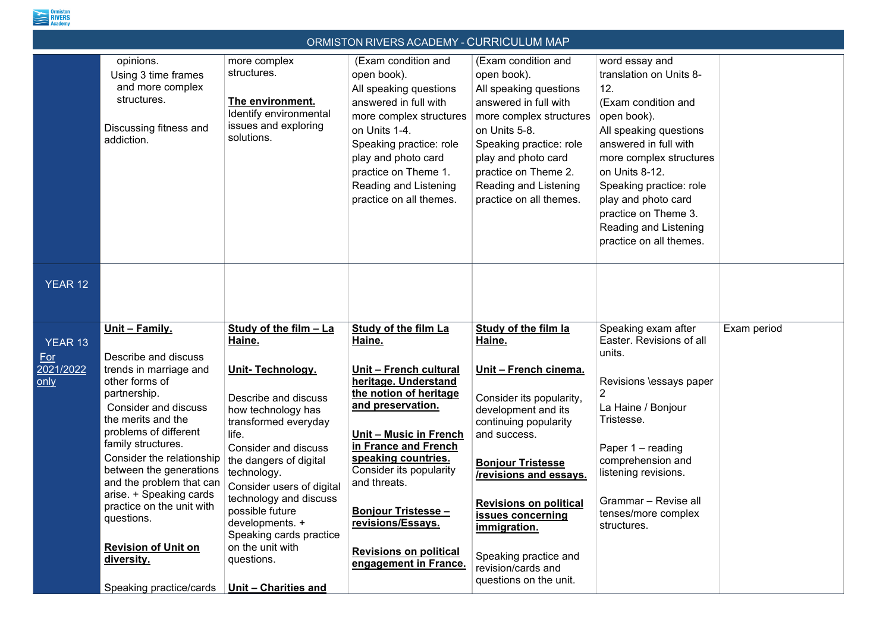

| ORMISTON RIVERS ACADEMY - CURRICULUM MAP                 |                                                                                                                                                                                                                                                                                                                                                                                                                                                              |                                                                                                                                                                                                                                                                                                                                                                                                                    |                                                                                                                                                                                                                                                                                                                                                                         |                                                                                                                                                                                                                                                                                                                                                                        |                                                                                                                                                                                                                                                                                                                             |             |
|----------------------------------------------------------|--------------------------------------------------------------------------------------------------------------------------------------------------------------------------------------------------------------------------------------------------------------------------------------------------------------------------------------------------------------------------------------------------------------------------------------------------------------|--------------------------------------------------------------------------------------------------------------------------------------------------------------------------------------------------------------------------------------------------------------------------------------------------------------------------------------------------------------------------------------------------------------------|-------------------------------------------------------------------------------------------------------------------------------------------------------------------------------------------------------------------------------------------------------------------------------------------------------------------------------------------------------------------------|------------------------------------------------------------------------------------------------------------------------------------------------------------------------------------------------------------------------------------------------------------------------------------------------------------------------------------------------------------------------|-----------------------------------------------------------------------------------------------------------------------------------------------------------------------------------------------------------------------------------------------------------------------------------------------------------------------------|-------------|
|                                                          | opinions.<br>Using 3 time frames<br>and more complex<br>structures.<br>Discussing fitness and<br>addiction.                                                                                                                                                                                                                                                                                                                                                  | more complex<br>structures.<br>The environment.<br>Identify environmental<br>issues and exploring<br>solutions.                                                                                                                                                                                                                                                                                                    | (Exam condition and<br>open book).<br>All speaking questions<br>answered in full with<br>more complex structures<br>on Units 1-4.<br>Speaking practice: role<br>play and photo card<br>practice on Theme 1.<br><b>Reading and Listening</b><br>practice on all themes.                                                                                                  | (Exam condition and<br>open book).<br>All speaking questions<br>answered in full with<br>more complex structures<br>on Units 5-8.<br>Speaking practice: role<br>play and photo card<br>practice on Theme 2.<br>Reading and Listening<br>practice on all themes.                                                                                                        | word essay and<br>translation on Units 8-<br>12.<br>(Exam condition and<br>open book).<br>All speaking questions<br>answered in full with<br>more complex structures<br>on Units 8-12.<br>Speaking practice: role<br>play and photo card<br>practice on Theme 3.<br><b>Reading and Listening</b><br>practice on all themes. |             |
| YEAR 12                                                  |                                                                                                                                                                                                                                                                                                                                                                                                                                                              |                                                                                                                                                                                                                                                                                                                                                                                                                    |                                                                                                                                                                                                                                                                                                                                                                         |                                                                                                                                                                                                                                                                                                                                                                        |                                                                                                                                                                                                                                                                                                                             |             |
| <b>YEAR 13</b><br><u>For</u><br>2021/2022<br><u>only</u> | <u><b>Unit - Family.</b></u><br>Describe and discuss<br>trends in marriage and<br>other forms of<br>partnership.<br><b>Consider and discuss</b><br>the merits and the<br>problems of different<br>family structures.<br>Consider the relationship<br>between the generations<br>and the problem that can<br>arise. + Speaking cards<br>practice on the unit with<br>questions.<br><b>Revision of Unit on</b><br><u>diversity.</u><br>Speaking practice/cards | Study of the film - La<br>Haine.<br><b>Unit-Technology.</b><br>Describe and discuss<br>how technology has<br>transformed everyday<br>life.<br><b>Consider and discuss</b><br>the dangers of digital<br>technology.<br>Consider users of digital<br>technology and discuss<br>possible future<br>developments. +<br>Speaking cards practice<br>on the unit with<br>questions.<br><u><b>Unit - Charities and</b></u> | <b>Study of the film La</b><br>Haine.<br>Unit – French cultural<br>heritage. Understand<br>the notion of heritage<br>and preservation.<br>Unit – Music in French<br>in France and French<br>speaking countries.<br>Consider its popularity<br>and threats.<br><b>Bonjour Tristesse -</b><br>revisions/Essays.<br><b>Revisions on political</b><br>engagement in France. | <b>Study of the film la</b><br>Haine.<br>Unit - French cinema.<br>Consider its popularity,<br>development and its<br>continuing popularity<br>and success.<br><b>Bonjour Tristesse</b><br>/revisions and essays.<br><b>Revisions on political</b><br><b>issues concerning</b><br>immigration.<br>Speaking practice and<br>revision/cards and<br>questions on the unit. | Speaking exam after<br>Easter. Revisions of all<br>units.<br>Revisions \essays paper<br>$\overline{2}$<br>La Haine / Bonjour<br>Tristesse.<br>Paper $1 -$ reading<br>comprehension and<br>listening revisions.<br>Grammar - Revise all<br>tenses/more complex<br>structures.                                                | Exam period |